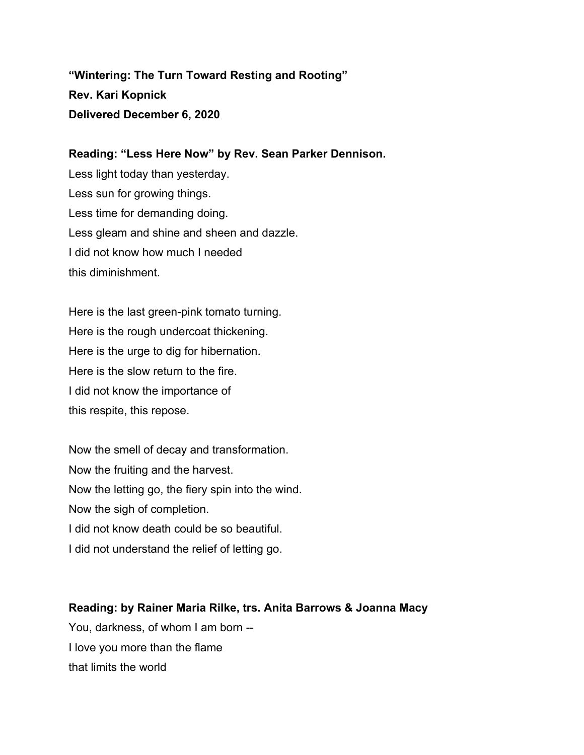**"Wintering: The Turn Toward Resting and Rooting" Rev. Kari Kopnick Delivered December 6, 2020**

**Reading: "Less Here Now" by Rev. Sean Parker Dennison.** Less light today than yesterday. Less sun for growing things. Less time for demanding doing. Less gleam and shine and sheen and dazzle. I did not know how much I needed this diminishment.

Here is the last green-pink tomato turning. Here is the rough undercoat thickening. Here is the urge to dig for hibernation. Here is the slow return to the fire. I did not know the importance of this respite, this repose.

Now the smell of decay and transformation. Now the fruiting and the harvest. Now the letting go, the fiery spin into the wind. Now the sigh of completion. I did not know death could be so beautiful. I did not understand the relief of letting go.

**Reading: by Rainer Maria Rilke, trs. Anita Barrows & Joanna Macy** You, darkness, of whom I am born -- I love you more than the flame that limits the world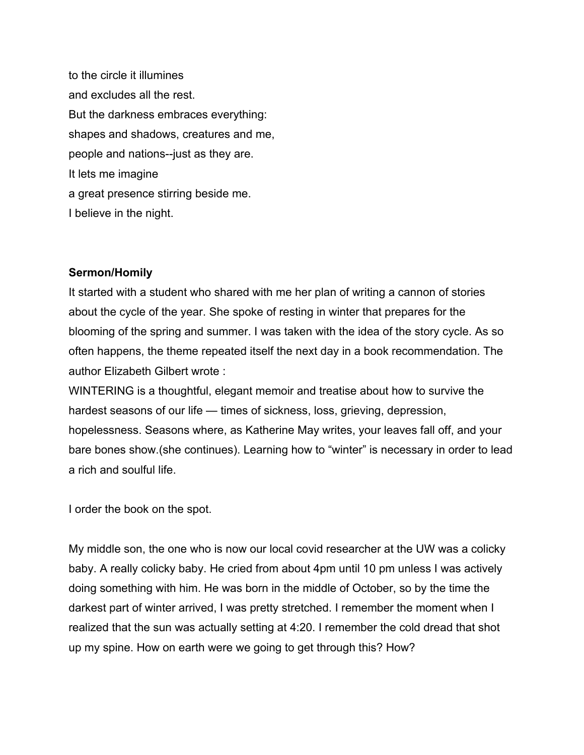to the circle it illumines and excludes all the rest. But the darkness embraces everything: shapes and shadows, creatures and me, people and nations--just as they are. It lets me imagine a great presence stirring beside me. I believe in the night.

## **Sermon/Homily**

It started with a student who shared with me her plan of writing a cannon of stories about the cycle of the year. She spoke of resting in winter that prepares for the blooming of the spring and summer. I was taken with the idea of the story cycle. As so often happens, the theme repeated itself the next day in a book recommendation. The author Elizabeth Gilbert wrote :

WINTERING is a thoughtful, elegant memoir and treatise about how to survive the hardest seasons of our life — times of sickness, loss, grieving, depression, hopelessness. Seasons where, as Katherine May writes, your leaves fall off, and your bare bones show.(she continues). Learning how to "winter" is necessary in order to lead a rich and soulful life.

I order the book on the spot.

My middle son, the one who is now our local covid researcher at the UW was a colicky baby. A really colicky baby. He cried from about 4pm until 10 pm unless I was actively doing something with him. He was born in the middle of October, so by the time the darkest part of winter arrived, I was pretty stretched. I remember the moment when I realized that the sun was actually setting at 4:20. I remember the cold dread that shot up my spine. How on earth were we going to get through this? How?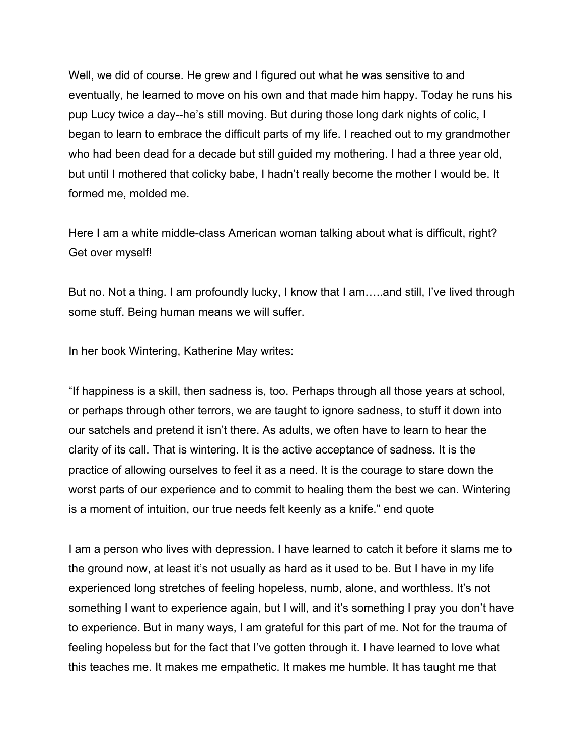Well, we did of course. He grew and I figured out what he was sensitive to and eventually, he learned to move on his own and that made him happy. Today he runs his pup Lucy twice a day--he's still moving. But during those long dark nights of colic, I began to learn to embrace the difficult parts of my life. I reached out to my grandmother who had been dead for a decade but still guided my mothering. I had a three year old, but until I mothered that colicky babe, I hadn't really become the mother I would be. It formed me, molded me.

Here I am a white middle-class American woman talking about what is difficult, right? Get over myself!

But no. Not a thing. I am profoundly lucky, I know that I am…..and still, I've lived through some stuff. Being human means we will suffer.

In her book Wintering, Katherine May writes:

"If happiness is a skill, then sadness is, too. Perhaps through all those years at school, or perhaps through other terrors, we are taught to ignore sadness, to stuff it down into our satchels and pretend it isn't there. As adults, we often have to learn to hear the clarity of its call. That is wintering. It is the active acceptance of sadness. It is the practice of allowing ourselves to feel it as a need. It is the courage to stare down the worst parts of our experience and to commit to healing them the best we can. Wintering is a moment of intuition, our true needs felt keenly as a knife." end quote

I am a person who lives with depression. I have learned to catch it before it slams me to the ground now, at least it's not usually as hard as it used to be. But I have in my life experienced long stretches of feeling hopeless, numb, alone, and worthless. It's not something I want to experience again, but I will, and it's something I pray you don't have to experience. But in many ways, I am grateful for this part of me. Not for the trauma of feeling hopeless but for the fact that I've gotten through it. I have learned to love what this teaches me. It makes me empathetic. It makes me humble. It has taught me that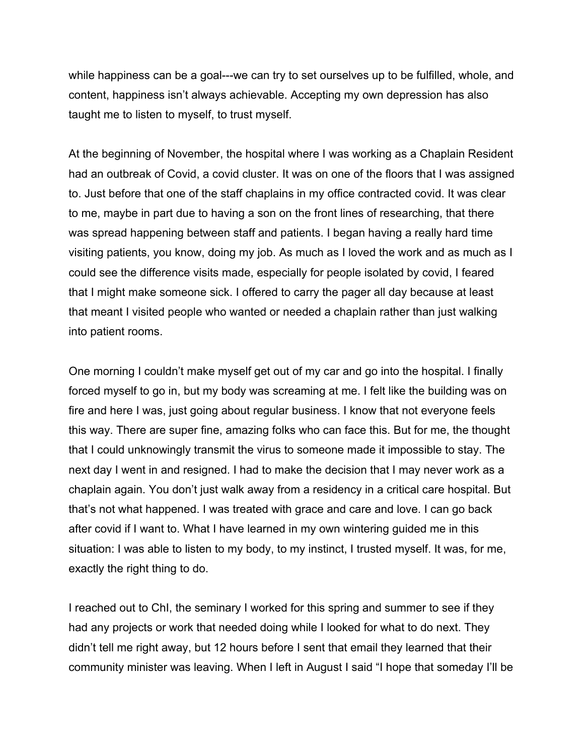while happiness can be a goal---we can try to set ourselves up to be fulfilled, whole, and content, happiness isn't always achievable. Accepting my own depression has also taught me to listen to myself, to trust myself.

At the beginning of November, the hospital where I was working as a Chaplain Resident had an outbreak of Covid, a covid cluster. It was on one of the floors that I was assigned to. Just before that one of the staff chaplains in my office contracted covid. It was clear to me, maybe in part due to having a son on the front lines of researching, that there was spread happening between staff and patients. I began having a really hard time visiting patients, you know, doing my job. As much as I loved the work and as much as I could see the difference visits made, especially for people isolated by covid, I feared that I might make someone sick. I offered to carry the pager all day because at least that meant I visited people who wanted or needed a chaplain rather than just walking into patient rooms.

One morning I couldn't make myself get out of my car and go into the hospital. I finally forced myself to go in, but my body was screaming at me. I felt like the building was on fire and here I was, just going about regular business. I know that not everyone feels this way. There are super fine, amazing folks who can face this. But for me, the thought that I could unknowingly transmit the virus to someone made it impossible to stay. The next day I went in and resigned. I had to make the decision that I may never work as a chaplain again. You don't just walk away from a residency in a critical care hospital. But that's not what happened. I was treated with grace and care and love. I can go back after covid if I want to. What I have learned in my own wintering guided me in this situation: I was able to listen to my body, to my instinct, I trusted myself. It was, for me, exactly the right thing to do.

I reached out to ChI, the seminary I worked for this spring and summer to see if they had any projects or work that needed doing while I looked for what to do next. They didn't tell me right away, but 12 hours before I sent that email they learned that their community minister was leaving. When I left in August I said "I hope that someday I'll be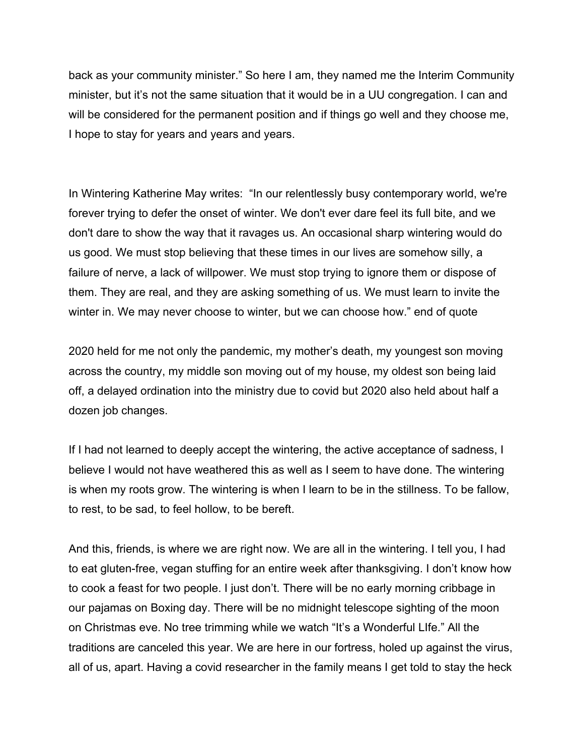back as your community minister." So here I am, they named me the Interim Community minister, but it's not the same situation that it would be in a UU congregation. I can and will be considered for the permanent position and if things go well and they choose me, I hope to stay for years and years and years.

In Wintering Katherine May writes: "In our relentlessly busy contemporary world, we're forever trying to defer the onset of winter. We don't ever dare feel its full bite, and we don't dare to show the way that it ravages us. An occasional sharp wintering would do us good. We must stop believing that these times in our lives are somehow silly, a failure of nerve, a lack of willpower. We must stop trying to ignore them or dispose of them. They are real, and they are asking something of us. We must learn to invite the winter in. We may never choose to winter, but we can choose how." end of quote

2020 held for me not only the pandemic, my mother's death, my youngest son moving across the country, my middle son moving out of my house, my oldest son being laid off, a delayed ordination into the ministry due to covid but 2020 also held about half a dozen job changes.

If I had not learned to deeply accept the wintering, the active acceptance of sadness, I believe I would not have weathered this as well as I seem to have done. The wintering is when my roots grow. The wintering is when I learn to be in the stillness. To be fallow, to rest, to be sad, to feel hollow, to be bereft.

And this, friends, is where we are right now. We are all in the wintering. I tell you, I had to eat gluten-free, vegan stuffing for an entire week after thanksgiving. I don't know how to cook a feast for two people. I just don't. There will be no early morning cribbage in our pajamas on Boxing day. There will be no midnight telescope sighting of the moon on Christmas eve. No tree trimming while we watch "It's a Wonderful LIfe." All the traditions are canceled this year. We are here in our fortress, holed up against the virus, all of us, apart. Having a covid researcher in the family means I get told to stay the heck